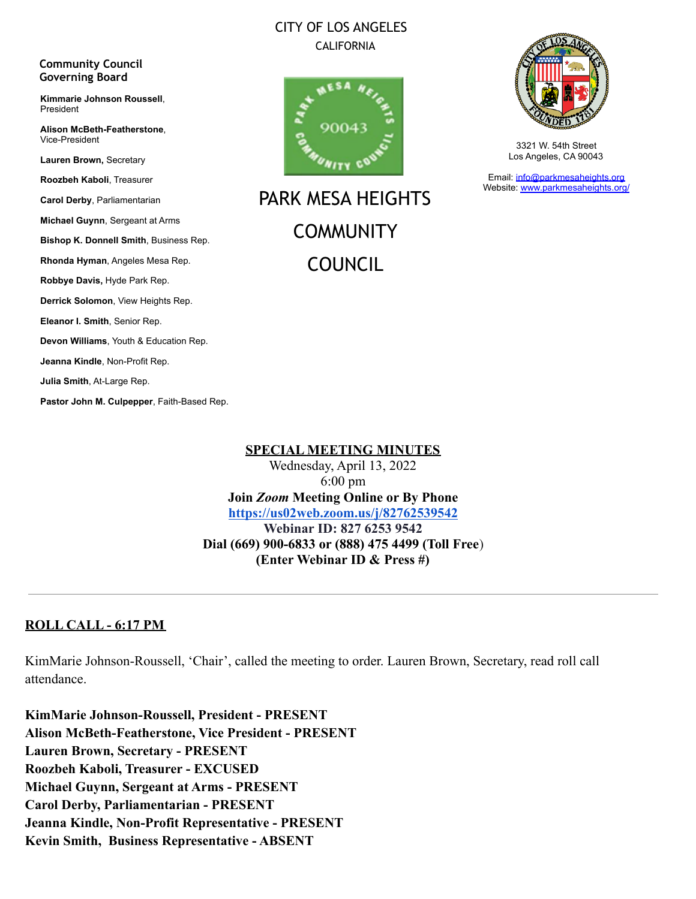### CITY OF LOS ANGELES CALIFORNIA



PARK MESA HEIGHTS **COMMUNITY** COUNCIL



3321 W. 54th Street Los Angeles, CA 90043

Email: [info@parkmesaheights.org](mailto:info@parkmesaheights.org) Website: [www.parkmesaheights.org/](http://www.parkmesaheights.org/)

Vice-President **Lauren Brown,** Secretary **Roozbeh Kaboli**, Treasurer **Carol Derby**, Parliamentarian **Michael Guynn**, Sergeant at Arms **Bishop K. Donnell Smith**, Business Rep. **Rhonda Hyman**, Angeles Mesa Rep. **Robbye Davis,** Hyde Park Rep. **Derrick Solomon**, View Heights Rep. **Eleanor I. Smith**, Senior Rep. **Devon Williams**, Youth & Education Rep. **Jeanna Kindle**, Non-Profit Rep. **Julia Smith**, At-Large Rep.

**Community Council Governing Board**

President

**Kimmarie Johnson Roussell**,

**Alison McBeth-Featherstone**,

**Pastor John M. Culpepper**, Faith-Based Rep.

#### **SPECIAL MEETING MINUTES**

Wednesday, April 13, 2022 6:00 pm **Join** *Zoom* **Meeting Online or By Phone <https://us02web.zoom.us/j/82762539542> Webinar ID: 827 6253 9542 Dial (669) 900-6833 or (888) 475 4499 (Toll Free**) **(Enter Webinar ID & Press #)**

#### **ROLL CALL - 6:17 PM**

KimMarie Johnson-Roussell, 'Chair', called the meeting to order. Lauren Brown, Secretary, read roll call attendance.

**KimMarie Johnson-Roussell, President - PRESENT Alison McBeth-Featherstone, Vice President - PRESENT Lauren Brown, Secretary - PRESENT Roozbeh Kaboli, Treasurer - EXCUSED Michael Guynn, Sergeant at Arms - PRESENT Carol Derby, Parliamentarian - PRESENT Jeanna Kindle, Non-Profit Representative - PRESENT Kevin Smith, Business Representative - ABSENT**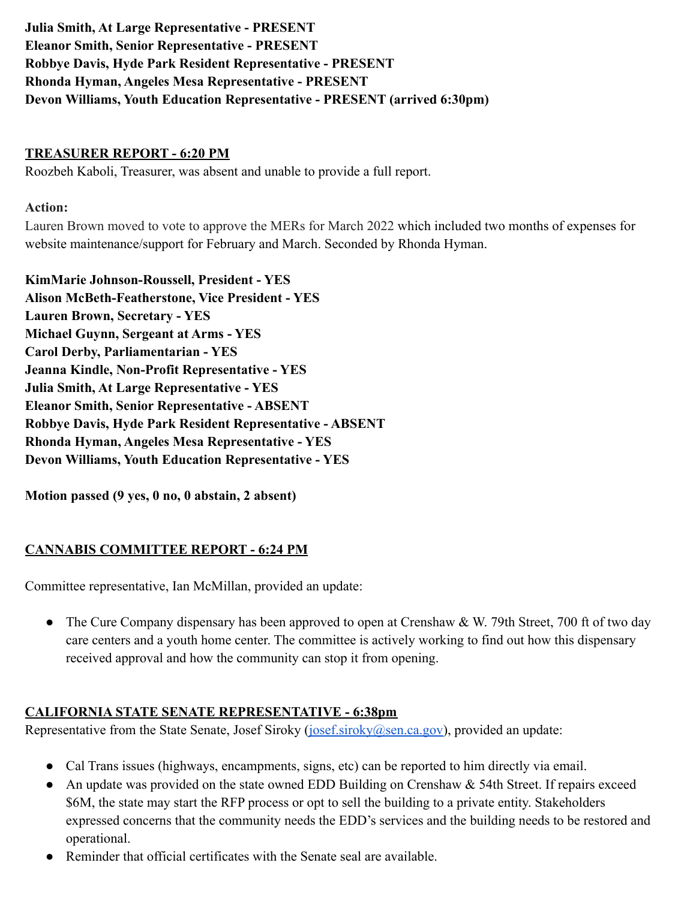**Julia Smith, At Large Representative - PRESENT Eleanor Smith, Senior Representative - PRESENT Robbye Davis, Hyde Park Resident Representative - PRESENT Rhonda Hyman, Angeles Mesa Representative - PRESENT Devon Williams, Youth Education Representative - PRESENT (arrived 6:30pm)**

### **TREASURER REPORT - 6:20 PM**

Roozbeh Kaboli, Treasurer, was absent and unable to provide a full report.

#### **Action:**

Lauren Brown moved to vote to approve the MERs for March 2022 which included two months of expenses for website maintenance/support for February and March. Seconded by Rhonda Hyman.

**KimMarie Johnson-Roussell, President - YES Alison McBeth-Featherstone, Vice President - YES Lauren Brown, Secretary - YES Michael Guynn, Sergeant at Arms - YES Carol Derby, Parliamentarian - YES Jeanna Kindle, Non-Profit Representative - YES Julia Smith, At Large Representative - YES Eleanor Smith, Senior Representative - ABSENT Robbye Davis, Hyde Park Resident Representative - ABSENT Rhonda Hyman, Angeles Mesa Representative - YES Devon Williams, Youth Education Representative - YES**

**Motion passed (9 yes, 0 no, 0 abstain, 2 absent)**

# **CANNABIS COMMITTEE REPORT - 6:24 PM**

Committee representative, Ian McMillan, provided an update:

• The Cure Company dispensary has been approved to open at Crenshaw & W. 79th Street, 700 ft of two day care centers and a youth home center. The committee is actively working to find out how this dispensary received approval and how the community can stop it from opening.

#### **CALIFORNIA STATE SENATE REPRESENTATIVE - 6:38pm**

Representative from the State Senate, Josef Siroky ([josef.siroky@sen.ca.gov\)](mailto:josef.siroky@sen.ca.gov), provided an update:

- Cal Trans issues (highways, encampments, signs, etc) can be reported to him directly via email.
- An update was provided on the state owned EDD Building on Crenshaw & 54th Street. If repairs exceed \$6M, the state may start the RFP process or opt to sell the building to a private entity. Stakeholders expressed concerns that the community needs the EDD's services and the building needs to be restored and operational.
- Reminder that official certificates with the Senate seal are available.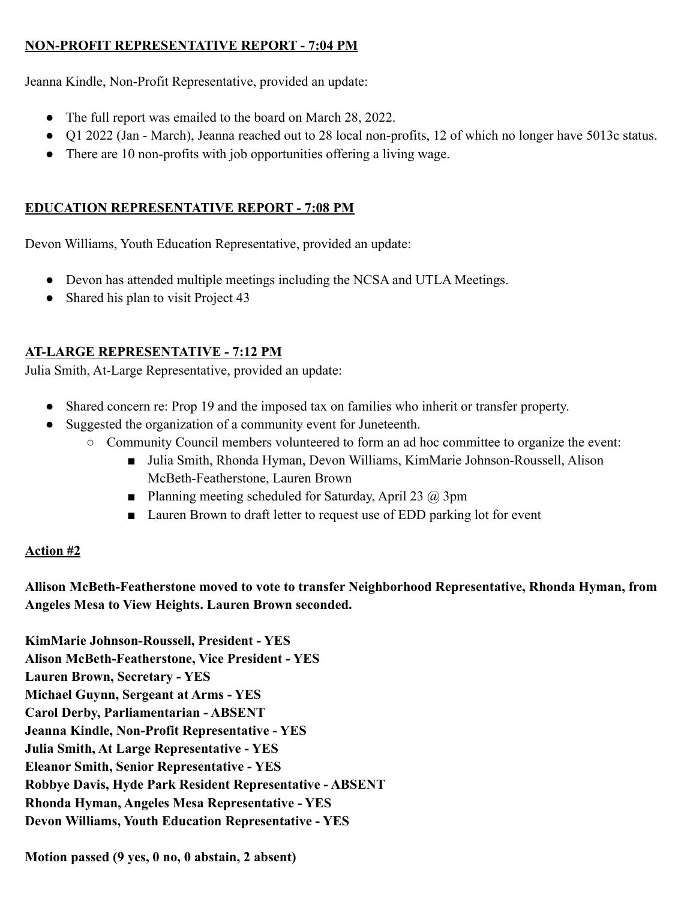# **NON-PROFIT REPRESENTATIVE REPORT - 7:04 PM**

Jeanna Kindle, Non-Profit Representative, provided an update:

- The full report was emailed to the board on March 28, 2022.
- Q1 2022 (Jan March), Jeanna reached out to 28 local non-profits, 12 of which no longer have 5013c status.
- There are 10 non-profits with job opportunities offering a living wage.

# **EDUCATION REPRESENTATIVE REPORT - 7:08 PM**

Devon Williams, Youth Education Representative, provided an update:

- Devon has attended multiple meetings including the NCSA and UTLA Meetings.
- Shared his plan to visit Project 43

# **AT-LARGE REPRESENTATIVE - 7:12 PM**

Julia Smith, At-Large Representative, provided an update:

- Shared concern re: Prop 19 and the imposed tax on families who inherit or transfer property.
- Suggested the organization of a community event for Juneteenth.
	- Community Council members volunteered to form an ad hoc committee to organize the event:
		- Julia Smith, Rhonda Hyman, Devon Williams, KimMarie Johnson-Roussell, Alison McBeth-Featherstone, Lauren Brown
		- **•** Planning meeting scheduled for Saturday, April 23  $\omega$  3pm
		- Lauren Brown to draft letter to request use of EDD parking lot for event

# **Action #2**

**Allison McBeth-Featherstone moved to vote to transfer Neighborhood Representative, Rhonda Hyman, from Angeles Mesa to View Heights. Lauren Brown seconded.**

**KimMarie Johnson-Roussell, President - YES Alison McBeth-Featherstone, Vice President - YES Lauren Brown, Secretary - YES Michael Guynn, Sergeant at Arms - YES Carol Derby, Parliamentarian - ABSENT Jeanna Kindle, Non-Profit Representative - YES Julia Smith, At Large Representative - YES Eleanor Smith, Senior Representative - YES Robbye Davis, Hyde Park Resident Representative - ABSENT Rhonda Hyman, Angeles Mesa Representative - YES Devon Williams, Youth Education Representative - YES**

**Motion passed (9 yes, 0 no, 0 abstain, 2 absent)**